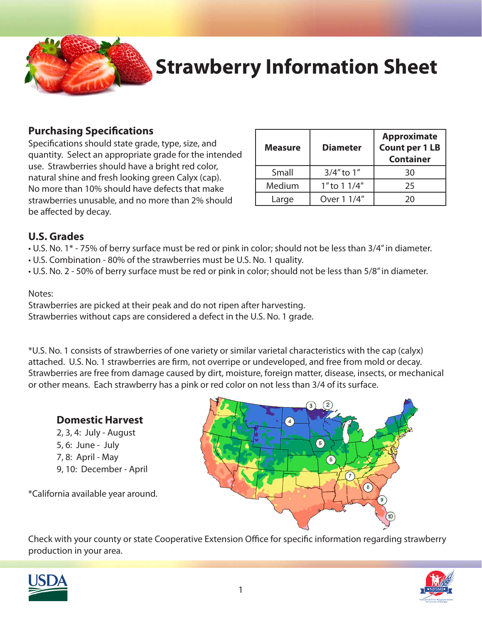

# **Strawberry Information Sheet**

#### **Purchasing Specifications**

Specifications should state grade, type, size, and quantity. Select an appropriate grade for the intended use. Strawberries should have a bright red color, natural shine and fresh looking green Calyx (cap). No more than 10% should have defects that make strawberries unusable, and no more than 2% should be affected by decay.

| <b>Measure</b> | <b>Diameter</b>        | <b>Approximate</b><br><b>Count per 1 LB</b><br><b>Container</b> |
|----------------|------------------------|-----------------------------------------------------------------|
| Small          | $3/4"$ to $1"$         | 30                                                              |
| Medium         | 1" to $1\frac{1}{4}$ " | 25                                                              |
| Large          | Over 1 1/4"            | ንበ                                                              |

#### **U.S. Grades**

• U.S. No. 1\* - 75% of berry surface must be red or pink in color; should not be less than 3/4" in diameter.

- U.S. Combination 80% of the strawberries must be U.S. No. 1 quality.
- U.S. No. 2 50% of berry surface must be red or pink in color; should not be less than 5/8" in diameter.

#### Notes:

Strawberries are picked at their peak and do not ripen after harvesting. Strawberries without caps are considered a defect in the U.S. No. 1 grade.

\*U.S. No. 1 consists of strawberries of one variety or similar varietal characteristics with the cap (calyx) attached. U.S. No. 1 strawberries are firm, not overripe or undeveloped, and free from mold or decay. Strawberries are free from damage caused by dirt, moisture, foreign matter, disease, insects, or mechanical or other means. Each strawberry has a pink or red color on not less than 3/4 of its surface.



 2, 3, 4: July - August 5, 6: June - July 7, 8: April - May 9, 10: December - April

\*California available year around.



Check with your county or state Cooperative Extension Office for specific information regarding strawberry production in your area.